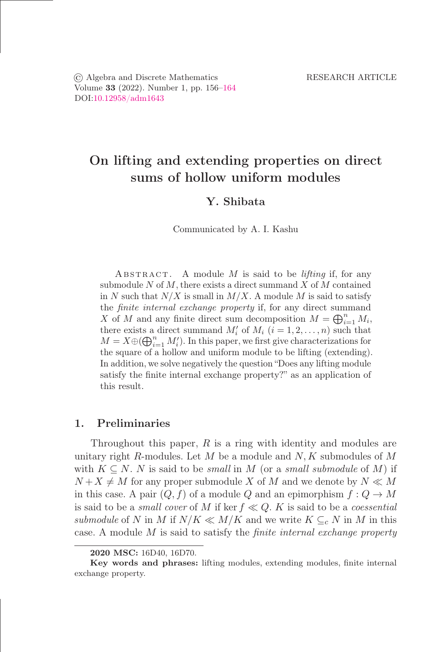© Algebra and Discrete Mathematics RESEARCH ARTICLE Volume 33 (2022). Number 1, pp. 156–164 DOI[:10.12958/adm1643](https://doi.org/10.12958/adm1643)

# On lifting and extending properties on direct sums of hollow uniform modules

## Y. Shibata

Communicated by A. I. Kashu

ABSTRACT. A module  $M$  is said to be *lifting* if, for any submodule N of M, there exists a direct summand X of M contained in N such that  $N/X$  is small in  $M/X$ . A module M is said to satisfy the finite internal exchange property if, for any direct summand X of M and any finite direct sum decomposition  $M = \bigoplus_{i=1}^n M_i$ , there exists a direct summand  $M'_{i}$  of  $M_{i}$   $(i = 1, 2, ..., n)$  such that  $M = X \oplus (\bigoplus_{i=1}^n M'_i)$ . In this paper, we first give characterizations for the square of a hollow and uniform module to be lifting (extending). In addition, we solve negatively the question "Does any lifting module satisfy the finite internal exchange property?" as an application of this result.

# 1. Preliminaries

Throughout this paper,  $R$  is a ring with identity and modules are unitary right R-modules. Let  $M$  be a module and  $N, K$  submodules of  $M$ with  $K \subseteq N$ . N is said to be *small* in M (or a *small submodule* of M) if  $N+X \neq M$  for any proper submodule X of M and we denote by  $N \ll M$ in this case. A pair  $(Q, f)$  of a module Q and an epimorphism  $f: Q \to M$ is said to be a *small cover* of M if ker  $f \ll Q$ . K is said to be a *coessential submodule* of N in M if  $N/K \ll M/K$  and we write  $K \subseteq_{c} N$  in M in this case. A module M is said to satisfy the *őnite internal exchange property*

<sup>2020</sup> MSC: 16D40, 16D70.

Key words and phrases: lifting modules, extending modules, finite internal exchange property.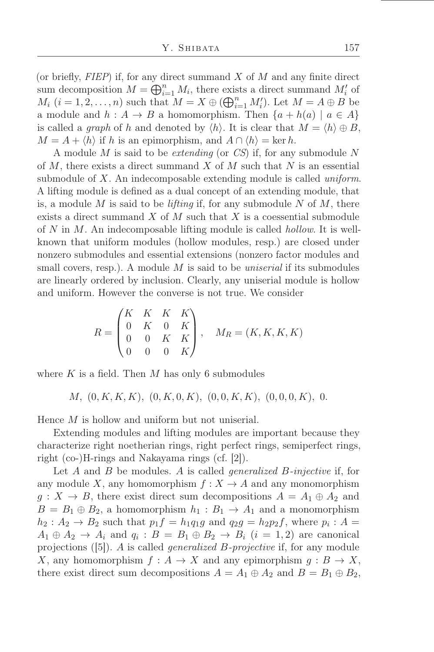(or briefly,  $FIEP$ ) if, for any direct summand  $X$  of  $M$  and any finite direct sum decomposition  $M = \bigoplus_{i=1}^n M_i$ , there exists a direct summand  $M'_i$  of  $M_i$   $(i = 1, 2, \ldots, n)$  such that  $M = X \oplus (\bigoplus_{i=1}^n M'_i)$ . Let  $M = A \oplus B$  be a module and  $h : A \to B$  a homomorphism. Then  $\{a + h(a) \mid a \in A\}$ is called a *graph* of h and denoted by  $\langle h \rangle$ . It is clear that  $M = \langle h \rangle \oplus B$ ,  $M = A + \langle h \rangle$  if h is an epimorphism, and  $A \cap \langle h \rangle = \text{ker } h$ .

A module M is said to be *extending* (or *CS*) if, for any submodule N of  $M$ , there exists a direct summand  $X$  of  $M$  such that  $N$  is an essential submodule of X. An indecomposable extending module is called *uniform*. A lifting module is defined as a dual concept of an extending module, that is, a module  $M$  is said to be *lifting* if, for any submodule  $N$  of  $M$ , there exists a direct summand  $X$  of  $M$  such that  $X$  is a coessential submodule of N in M. An indecomposable lifting module is called *hollow*. It is wellknown that uniform modules (hollow modules, resp.) are closed under nonzero submodules and essential extensions (nonzero factor modules and small covers, resp.). A module M is said to be *uniserial* if its submodules are linearly ordered by inclusion. Clearly, any uniserial module is hollow and uniform. However the converse is not true. We consider

$$
R = \begin{pmatrix} K & K & K & K \\ 0 & K & 0 & K \\ 0 & 0 & K & K \\ 0 & 0 & 0 & K \end{pmatrix}, \quad M_R = (K, K, K, K)
$$

where K is a field. Then M has only 6 submodules

 $M, (0, K, K, K), (0, K, 0, K), (0, 0, K, K), (0, 0, 0, K), 0.$ 

Hence M is hollow and uniform but not uniserial.

Extending modules and lifting modules are important because they characterize right noetherian rings, right perfect rings, semiperfect rings, right (co-)H-rings and Nakayama rings (cf. [2]).

Let A and B be modules. A is called *generalized* B*-injective* if, for any module X, any homomorphism  $f: X \to A$  and any monomorphism  $g: X \to B$ , there exist direct sum decompositions  $A = A_1 \oplus A_2$  and  $B = B_1 \oplus B_2$ , a homomorphism  $h_1 : B_1 \rightarrow A_1$  and a monomorphism  $h_2: A_2 \to B_2$  such that  $p_1 f = h_1 q_1 g$  and  $q_2 g = h_2 p_2 f$ , where  $p_i: A =$  $A_1 \oplus A_2 \rightarrow A_i$  and  $q_i : B = B_1 \oplus B_2 \rightarrow B_i$   $(i = 1, 2)$  are canonical projections ([5]). A is called *generalized* B*-projective* if, for any module X, any homomorphism  $f : A \to X$  and any epimorphism  $g : B \to X$ , there exist direct sum decompositions  $A = A_1 \oplus A_2$  and  $B = B_1 \oplus B_2$ ,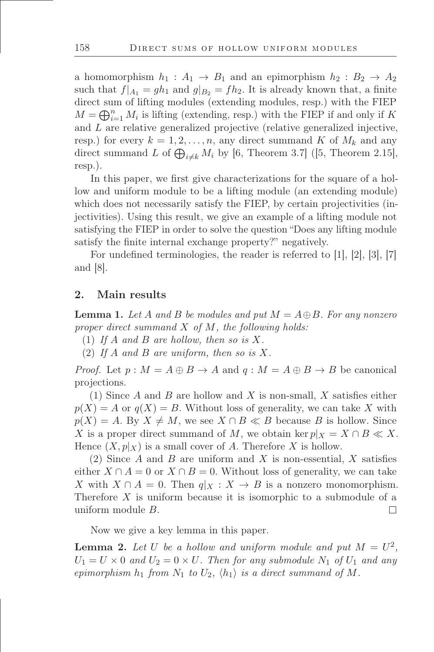a homomorphism  $h_1 : A_1 \rightarrow B_1$  and an epimorphism  $h_2 : B_2 \rightarrow A_2$ such that  $f|_{A_1} = gh_1$  and  $g|_{B_2} = fh_2$ . It is already known that, a finite direct sum of lifting modules (extending modules, resp.) with the FIEP  $M = \bigoplus_{i=1}^{n} M_i$  is lifting (extending, resp.) with the FIEP if and only if K and L are relative generalized projective (relative generalized injective, resp.) for every  $k = 1, 2, ..., n$ , any direct summand K of  $M_k$  and any direct summand L of  $\bigoplus_{i\neq k} M_i$  by [6, Theorem 3.7] ([5, Theorem 2.15], resp.).

In this paper, we first give characterizations for the square of a hollow and uniform module to be a lifting module (an extending module) which does not necessarily satisfy the FIEP, by certain projectivities (injectivities). Using this result, we give an example of a lifting module not satisfying the FIEP in order to solve the question "Does any lifting module satisfy the finite internal exchange property?" negatively.

For undefined terminologies, the reader is referred to  $[1], [2], [3], [7]$ and [8].

## 2. Main results

<span id="page-2-1"></span>**Lemma 1.** Let A and B be modules and put  $M = A \oplus B$ . For any nonzero *proper direct summand* X *of* M*, the following holds:*

- (1) *If* A *and* B *are hollow, then so is* X*.*
- (2) *If* A *and* B *are uniform, then so is* X*.*

*Proof.* Let  $p : M = A \oplus B \rightarrow A$  and  $q : M = A \oplus B \rightarrow B$  be canonical projections.

(1) Since A and B are hollow and X is non-small, X satisfies either  $p(X) = A$  or  $q(X) = B$ . Without loss of generality, we can take X with  $p(X) = A$ . By  $X \neq M$ , we see  $X \cap B \ll B$  because B is hollow. Since X is a proper direct summand of M, we obtain ker  $p|_X = X \cap B \ll X$ . Hence  $(X, p|_X)$  is a small cover of A. Therefore X is hollow.

(2) Since A and B are uniform and X is non-essential, X satisfies either  $X \cap A = 0$  or  $X \cap B = 0$ . Without loss of generality, we can take X with  $X \cap A = 0$ . Then  $q|_X : X \to B$  is a nonzero monomorphism. Therefore X is uniform because it is isomorphic to a submodule of a uniform module B.  $\Box$ 

Now we give a key lemma in this paper.

<span id="page-2-0"></span>**Lemma 2.** Let U be a hollow and uniform module and put  $M = U^2$ ,  $U_1 = U \times 0$  and  $U_2 = 0 \times U$ . Then for any submodule  $N_1$  of  $U_1$  and any *epimorphism*  $h_1$  *from*  $N_1$  *to*  $U_2$ *,*  $\langle h_1 \rangle$  *is a direct summand of*  $M$ *.*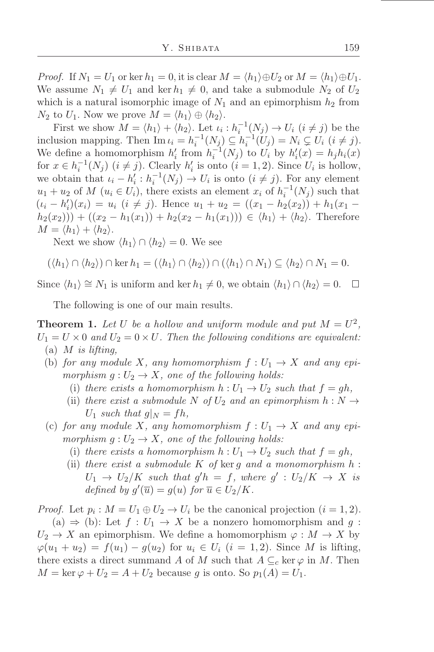*Proof.* If  $N_1 = U_1$  or ker  $h_1 = 0$ , it is clear  $M = \langle h_1 \rangle \oplus U_2$  or  $M = \langle h_1 \rangle \oplus U_1$ . We assume  $N_1 \neq U_1$  and ker  $h_1 \neq 0$ , and take a submodule  $N_2$  of  $U_2$ which is a natural isomorphic image of  $N_1$  and an epimorphism  $h_2$  from  $N_2$  to  $U_1$ . Now we prove  $M = \langle h_1 \rangle \oplus \langle h_2 \rangle$ .

First we show  $M = \langle h_1 \rangle + \langle h_2 \rangle$ . Let  $\iota_i : h_i^{-1}(N_j) \to U_i$   $(i \neq j)$  be the inclusion mapping. Then  $\text{Im } \iota_i = h_i^{-1}(N_j) \subseteq h_i^{-1}(U_j) = N_i \subsetneq U_i \ (i \neq j)$ . We define a homomorphism  $h'_i$  from  $h_i^{-1}(N_j)$  to  $U_i$  by  $h'_i(x) = h_j h_i(x)$ for  $x \in h_i^{-1}(N_j)$   $(i \neq j)$ . Clearly  $h'_i$  is onto  $(i = 1, 2)$ . Since  $U_i$  is hollow, we obtain that  $\iota_i - h'_i : h_i^{-1}(N_j) \to U_i$  is onto  $(i \neq j)$ . For any element  $u_1 + u_2$  of  $M$   $(u_i \in U_i)$ , there exists an element  $x_i$  of  $h_i^{-1}(N_j)$  such that  $(\iota_i - h'_i)(x_i) = u_i$   $(i \neq j)$ . Hence  $u_1 + u_2 = ((x_1 - h_2(x_2)) + h_1(x_1$  $h_2(x_2))$  +  $((x_2 - h_1(x_1)) + h_2(x_2 - h_1(x_1))) \in \langle h_1 \rangle + \langle h_2 \rangle$ . Therefore  $M = \langle h_1 \rangle + \langle h_2 \rangle$ .

Next we show  $\langle h_1 \rangle \cap \langle h_2 \rangle = 0$ . We see

$$
(\langle h_1 \rangle \cap \langle h_2 \rangle) \cap \ker h_1 = (\langle h_1 \rangle \cap \langle h_2 \rangle) \cap (\langle h_1 \rangle \cap N_1) \subseteq \langle h_2 \rangle \cap N_1 = 0.
$$

Since  $\langle h_1 \rangle \cong N_1$  is uniform and ker  $h_1 \neq 0$ , we obtain  $\langle h_1 \rangle \cap \langle h_2 \rangle = 0$ .  $\Box$ 

The following is one of our main results.

<span id="page-3-0"></span>**Theorem 1.** Let U be a hollow and uniform module and put  $M = U^2$ ,  $U_1 = U \times 0$  and  $U_2 = 0 \times U$ . Then the following conditions are equivalent: (a) M *is lifting,*

- (b) *for any module* X, any homomorphism  $f: U_1 \to X$  and any epi*morphism*  $g: U_2 \to X$ *, one of the following holds:* 
	- (i) there exists a homomorphism  $h: U_1 \rightarrow U_2$  such that  $f = gh$ ,
	- (ii) *there exist a submodule* N of  $U_2$  *and an epimorphism*  $h: N \rightarrow$  $U_1$  *such that*  $g|_N = fh$ ,
- (c) for any module X, any homomorphism  $f: U_1 \to X$  and any epi*morphism*  $g: U_2 \to X$ *, one of the following holds:* 
	- (i) there exists a homomorphism  $h: U_1 \rightarrow U_2$  such that  $f = gh$ ,
	- (ii) *there exist a submodule* K *of* ker g *and a monomorphism* h :  $U_1 \rightarrow U_2/K$  such that  $g'h = f$ , where  $g' : U_2/K \rightarrow X$  is *defined by*  $g'(\overline{u}) = g(u)$  *for*  $\overline{u} \in U_2/K$ *.*

*Proof.* Let  $p_i$ :  $M = U_1 \oplus U_2 \rightarrow U_i$  be the canonical projection  $(i = 1, 2)$ . (a)  $\Rightarrow$  (b): Let  $f: U_1 \rightarrow X$  be a nonzero homomorphism and g:  $U_2 \to X$  an epimorphism. We define a homomorphism  $\varphi : M \to X$  by  $\varphi(u_1 + u_2) = f(u_1) - g(u_2)$  for  $u_i \in U_i$   $(i = 1, 2)$ . Since M is lifting, there exists a direct summand A of M such that  $A \subseteq_{c} \ker \varphi$  in M. Then  $M = \ker \varphi + U_2 = A + U_2$  because g is onto. So  $p_1(A) = U_1$ .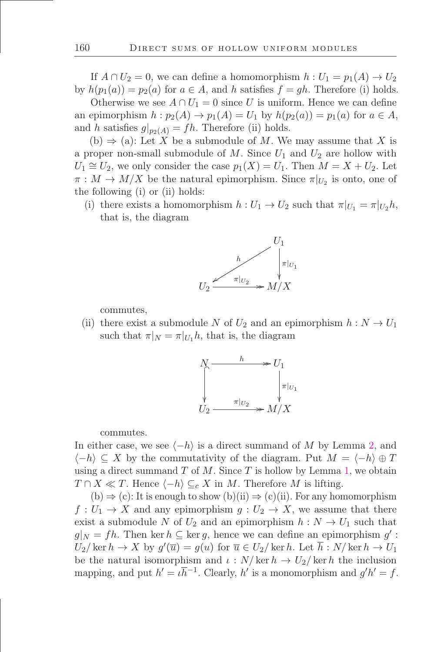If  $A \cap U_2 = 0$ , we can define a homomorphism  $h : U_1 = p_1(A) \rightarrow U_2$ by  $h(p_1(a)) = p_2(a)$  for  $a \in A$ , and h satisfies  $f = gh$ . Therefore (i) holds.

Otherwise we see  $A \cap U_1 = 0$  since U is uniform. Hence we can define an epimorphism  $h : p_2(A) \to p_1(A) = U_1$  by  $h(p_2(a)) = p_1(a)$  for  $a \in A$ , and h satisfies  $g|_{p_2(A)} = fh$ . Therefore (ii) holds.

(b)  $\Rightarrow$  (a): Let X be a submodule of M. We may assume that X is a proper non-small submodule of  $M$ . Since  $U_1$  and  $U_2$  are hollow with  $U_1 \cong U_2$ , we only consider the case  $p_1(X) = U_1$ . Then  $M = X + U_2$ . Let  $\pi: M \to M/X$  be the natural epimorphism. Since  $\pi|_{U_2}$  is onto, one of the following (i) or (ii) holds:

(i) there exists a homomorphism  $h: U_1 \to U_2$  such that  $\pi|_{U_1} = \pi|_{U_2}h$ , that is, the diagram



commutes,

(ii) there exist a submodule N of  $U_2$  and an epimorphism  $h: N \to U_1$ such that  $\pi|_N = \pi|_{U_1} h$ , that is, the diagram



commutes.

In either case, we see  $\langle -h \rangle$  is a direct summand of M by Lemma [2,](#page-2-0) and  $\langle -h \rangle \subseteq X$  by the commutativity of the diagram. Put  $M = \langle -h \rangle \oplus T$ using a direct summand  $T$  of  $M$ . Since  $T$  is hollow by Lemma [1,](#page-2-1) we obtain  $T \cap X \ll T$ . Hence  $\langle -h \rangle \subseteq_c X$  in M. Therefore M is lifting.

 $(b) \Rightarrow (c)$ : It is enough to show  $(b)(ii) \Rightarrow (c)(ii)$ . For any homomorphism  $f: U_1 \to X$  and any epimorphism  $g: U_2 \to X$ , we assume that there exist a submodule N of  $U_2$  and an epimorphism  $h: N \to U_1$  such that  $g|_N = fh$ . Then ker  $h \subseteq \text{ker } g$ , hence we can define an epimorphism  $g'$ :  $U_2/\ker h \to X$  by  $g'(\overline{u}) = g(u)$  for  $\overline{u} \in U_2/\ker h$ . Let  $\overline{h}: N/\ker h \to U_1$ be the natural isomorphism and  $\iota : N/\ker h \to U_2/\ker h$  the inclusion mapping, and put  $h' = \iota \bar{h}^{-1}$ . Clearly, h' is a monomorphism and  $g'h' = f$ .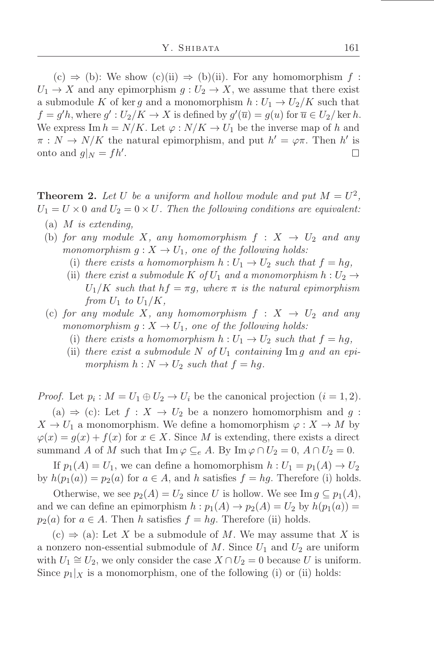$(c) \Rightarrow (b)$ : We show  $(c)(ii) \Rightarrow (b)(ii)$ . For any homomorphism  $f$ :  $U_1 \rightarrow X$  and any epimorphism  $g: U_2 \rightarrow X$ , we assume that there exist a submodule K of ker g and a monomorphism  $h: U_1 \to U_2/K$  such that  $f = g'h$ , where  $g' : U_2/K \to X$  is defined by  $g'(\overline{u}) = g(u)$  for  $\overline{u} \in U_2/\text{ker } h$ . We express Im  $h = N/K$ . Let  $\varphi : N/K \to U_1$  be the inverse map of h and  $\pi: N \to N/K$  the natural epimorphism, and put  $h' = \varphi \pi$ . Then h' is onto and  $g|_N = fh'.$  $\Box$ 

<span id="page-5-0"></span>**Theorem 2.** Let U be a uniform and hollow module and put  $M = U^2$ ,  $U_1 = U \times 0$  and  $U_2 = 0 \times U$ . Then the following conditions are equivalent:

- (a) M *is extending,*
- (b) *for any module* X, any homomorphism  $f : X \rightarrow U_2$  and any *monomorphism*  $g: X \to U_1$ *, one of the following holds:* 
	- (i) there exists a homomorphism  $h: U_1 \rightarrow U_2$  such that  $f = hg$ ,
	- (ii) *there exist a submodule* K *of*  $U_1$  *and a monomorphism*  $h: U_2 \rightarrow$  $U_1/K$  *such that*  $hf = \pi g$ *, where*  $\pi$  *is the natural epimorphism from*  $U_1$  *to*  $U_1/K$ *,*
- (c) for any module X, any homomorphism  $f: X \rightarrow U_2$  and any *monomorphism*  $g: X \to U_1$ *, one of the following holds:* 
	- (i) *there exists a homomorphism*  $h: U_1 \rightarrow U_2$  *such that*  $f = hg$ ,
	- (ii) *there exist a submodule* N of  $U_1$  *containing* Im g and an epi*morphism*  $h: N \to U_2$  *such that*  $f = hg$ .

*Proof.* Let  $p_i$ :  $M = U_1 \oplus U_2 \rightarrow U_i$  be the canonical projection  $(i = 1, 2)$ . (a)  $\Rightarrow$  (c): Let  $f: X \to U_2$  be a nonzero homomorphism and g:  $X \to U_1$  a monomorphism. We define a homomorphism  $\varphi: X \to M$  by  $\varphi(x) = g(x) + f(x)$  for  $x \in X$ . Since M is extending, there exists a direct summand A of M such that  $\text{Im }\varphi \subseteq_e A$ . By  $\text{Im }\varphi \cap U_2 = 0$ ,  $A \cap U_2 = 0$ .

If  $p_1(A) = U_1$ , we can define a homomorphism  $h: U_1 = p_1(A) \rightarrow U_2$ by  $h(p_1(a)) = p_2(a)$  for  $a \in A$ , and h satisfies  $f = hg$ . Therefore (i) holds.

Otherwise, we see  $p_2(A) = U_2$  since U is hollow. We see Im  $g \subseteq p_1(A)$ , and we can define an epimorphism  $h : p_1(A) \to p_2(A) = U_2$  by  $h(p_1(a)) =$  $p_2(a)$  for  $a \in A$ . Then h satisfies  $f = hg$ . Therefore (ii) holds.

 $(c) \Rightarrow (a)$ : Let X be a submodule of M. We may assume that X is a nonzero non-essential submodule of M. Since  $U_1$  and  $U_2$  are uniform with  $U_1 \cong U_2$ , we only consider the case  $X \cap U_2 = 0$  because U is uniform. Since  $p_1|_X$  is a monomorphism, one of the following (i) or (ii) holds: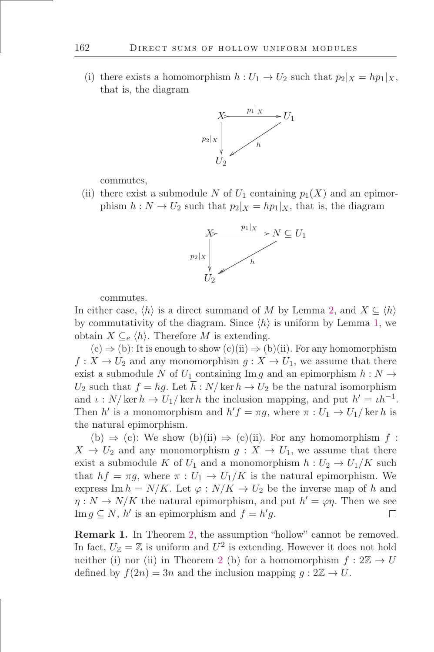(i) there exists a homomorphism  $h: U_1 \to U_2$  such that  $p_2|_X = hp_1|_X$ , that is, the diagram



commutes,

(ii) there exist a submodule N of  $U_1$  containing  $p_1(X)$  and an epimorphism  $h: N \to U_2$  such that  $p_2|_X = hp_1|_X$ , that is, the diagram



commutes.

In either case,  $\langle h \rangle$  is a direct summand of M by Lemma [2,](#page-2-0) and  $X \subseteq \langle h \rangle$ by commutativity of the diagram. Since  $\langle h \rangle$  is uniform by Lemma [1,](#page-2-1) we obtain  $X \subseteq_{e} \langle h \rangle$ . Therefore M is extending.

 $(c) \Rightarrow (b)$ : It is enough to show  $(c)(ii) \Rightarrow (b)(ii)$ . For any homomorphism  $f: X \to U_2$  and any monomorphism  $g: X \to U_1$ , we assume that there exist a submodule N of  $U_1$  containing Im g and an epimorphism  $h: N \to$  $U_2$  such that  $f = hg$ . Let  $h : N/\ker h \to U_2$  be the natural isomorphism and  $\iota: N/\ker h \to U_1/\ker h$  the inclusion mapping, and put  $h' = \iota \bar{h}^{-1}$ . Then h' is a monomorphism and  $h'f = \pi g$ , where  $\pi : U_1 \to U_1$  ker h is the natural epimorphism.

(b)  $\Rightarrow$  (c): We show (b)(ii)  $\Rightarrow$  (c)(ii). For any homomorphism f:  $X \to U_2$  and any monomorphism  $g: X \to U_1$ , we assume that there exist a submodule K of  $U_1$  and a monomorphism  $h: U_2 \to U_1/K$  such that  $hf = \pi g$ , where  $\pi : U_1 \to U_1/K$  is the natural epimorphism. We express Im  $h = N/K$ . Let  $\varphi : N/K \to U_2$  be the inverse map of h and  $\eta: N \to N/K$  the natural epimorphism, and put  $h' = \varphi \eta$ . Then we see Im  $g \subseteq N$ ,  $h'$  is an epimorphism and  $f = h'g$ .  $\Box$ 

Remark 1. In Theorem [2,](#page-5-0) the assumption "hollow" cannot be removed. In fact,  $U_{\mathbb{Z}} = \mathbb{Z}$  is uniform and  $U^2$  is extending. However it does not hold neither (i) nor (ii) in Theorem [2](#page-5-0) (b) for a homomorphism  $f: 2\mathbb{Z} \to U$ defined by  $f(2n) = 3n$  and the inclusion mapping  $g: 2\mathbb{Z} \to U$ .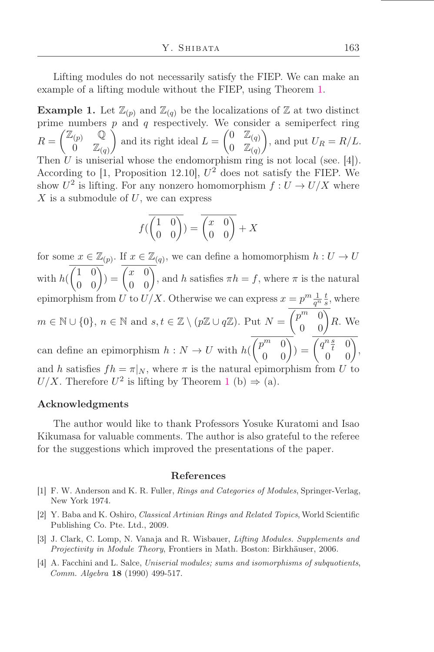Lifting modules do not necessarily satisfy the FIEP. We can make an example of a lifting module without the FIEP, using Theorem [1.](#page-3-0)

**Example 1.** Let  $\mathbb{Z}_{(p)}$  and  $\mathbb{Z}_{(q)}$  be the localizations of  $\mathbb{Z}$  at two distinct prime numbers  $p$  and  $q$  respectively. We consider a semiperfect ring  $R = \begin{pmatrix} \mathbb{Z}_{(p)} & \mathbb{Q} \\ 0 & \mathbb{Z} \end{pmatrix}$ 0  $\mathbb{Z}_{(q)}$ ) and its right ideal  $L = \begin{pmatrix} 0 & \mathbb{Z}(q) \\ 0 & \mathbb{Z} \end{pmatrix}$  $0 \mathbb{Z}_{(q)}$ ), and put  $U_R = R/L$ . Then  $\hat{U}$  is uniserial whose the endomorphism ring is not local (see. [4]). According to [1, Proposition 12.10],  $U^2$  does not satisfy the FIEP. We show  $U^2$  is lifting. For any nonzero homomorphism  $f: U \to U/X$  where  $X$  is a submodule of  $U$ , we can express

$$
f(\overline{\begin{pmatrix} 1 & 0 \\ 0 & 0 \end{pmatrix}}) = \overline{\begin{pmatrix} x & 0 \\ 0 & 0 \end{pmatrix}} + X
$$

for some  $x \in \mathbb{Z}_{(p)}$ . If  $x \in \mathbb{Z}_{(q)}$ , we can define a homomorphism  $h: U \to U$ with  $h(\begin{pmatrix} 1 & 0 \\ 0 & 0 \end{pmatrix}) = \begin{pmatrix} x & 0 \\ 0 & 0 \end{pmatrix}$ , and h satisfies  $\pi h = f$ , where  $\pi$  is the natural epimorphism from U to  $U/X$ . Otherwise we can express  $x = p^m \frac{1}{q^n} \frac{t}{s}$  $\frac{t}{s}$ , where  $m \in \mathbb{N} \cup \{0\}, n \in \mathbb{N}$  and  $s, t \in \mathbb{Z} \setminus (p\mathbb{Z} \cup q\mathbb{Z})$ . Put  $N = \begin{pmatrix} p^m & 0 \\ 0 & 0 \end{pmatrix} R$ . We can define an epimorphism  $h: N \to U$  with  $h(\begin{pmatrix} p^m & 0 \\ 0 & 0 \end{pmatrix}) = \begin{pmatrix} q^n \frac{s}{t} & 0 \\ 0 & 0 \end{pmatrix}$ , and h satisfies  $fh = \pi|_N$ , where  $\pi$  is the natural epimorphism from U to  $U/X$ . Therefore  $U^2$  is lifting by Theorem [1](#page-3-0) (b)  $\Rightarrow$  (a).

#### Acknowledgments

The author would like to thank Professors Yosuke Kuratomi and Isao Kikumasa for valuable comments. The author is also grateful to the referee for the suggestions which improved the presentations of the paper.

#### References

- [1] F. W. Anderson and K. R. Fuller, Rings and Categories of Modules, Springer-Verlag, New York 1974.
- [2] Y. Baba and K. Oshiro, Classical Artinian Rings and Related Topics, World Scientiőc Publishing Co. Pte. Ltd., 2009.
- [3] J. Clark, C. Lomp, N. Vanaja and R. Wisbauer, *Lifting Modules. Supplements and* Projectivity in Module Theory, Frontiers in Math. Boston: Birkhäuser, 2006.
- [4] A. Facchini and L. Salce, Uniserial modules; sums and isomorphisms of subquotients, Comm. Algebra 18 (1990) 499-517.